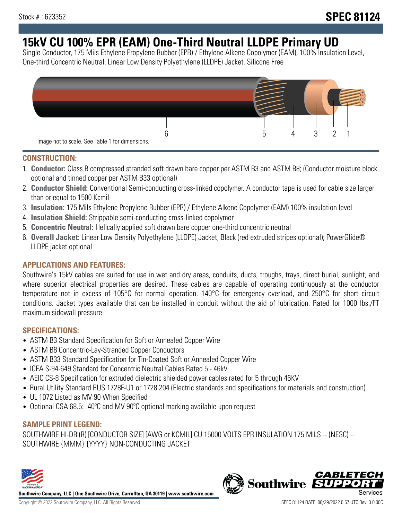# **15kV CU 100% EPR (EAM) One-Third Neutral LLDPE Primary UD**

Single Conductor, 175 Mils Ethylene Propylene Rubber (EPR) / Ethylene Alkene Copolymer (EAM), 100% Insulation Level, One-third Concentric Neutral, Linear Low Density Polyethylene (LLDPE) Jacket. Silicone Free



### **CONSTRUCTION:**

- 1. **Conductor:** Class B compressed stranded soft drawn bare copper per ASTM B3 and ASTM B8; (Conductor moisture block optional and tinned copper per ASTM B33 optional)
- 2. **Conductor Shield:** Conventional Semi-conducting cross-linked copolymer. A conductor tape is used for cable size larger than or equal to 1500 Kcmil
- 3. **Insulation:** 175 Mils Ethylene Propylene Rubber (EPR) / Ethylene Alkene Copolymer (EAM) 100% insulation level
- 4. **Insulation Shield:** Strippable semi-conducting cross-linked copolymer
- 5. **Concentric Neutral:** Helically applied soft drawn bare copper one-third concentric neutral
- 6. **Overall Jacket:** Linear Low Density Polyethylene (LLDPE) Jacket, Black (red extruded stripes optional); PowerGlide® LLDPE jacket optional

### **APPLICATIONS AND FEATURES:**

Southwire's 15kV cables are suited for use in wet and dry areas, conduits, ducts, troughs, trays, direct burial, sunlight, and where superior electrical properties are desired. These cables are capable of operating continuously at the conductor temperature not in excess of 105°C for normal operation. 140°C for emergency overload, and 250°C for short circuit conditions. Jacket types available that can be installed in conduit without the aid of lubrication. Rated for 1000 lbs./FT maximum sidewall pressure.

### **SPECIFICATIONS:**

- ASTM B3 Standard Specification for Soft or Annealed Copper Wire
- ASTM B8 Concentric-Lay-Stranded Copper Conductors
- ASTM B33 Standard Specification for Tin-Coated Soft or Annealed Copper Wire
- ICEA S-94-649 Standard for Concentric Neutral Cables Rated 5 46kV
- AEIC CS-8 Specification for extruded dielectric shielded power cables rated for 5 through 46KV
- Rural Utility Standard RUS 1728F-U1 or 1728.204 (Electric standards and specifications for materials and construction)
- UL 1072 Listed as MV 90 When Specified
- Optional CSA 68.5: -40°C and MV 90°C optional marking available upon request

## **SAMPLE PRINT LEGEND:**

SOUTHWIRE HI-DRI(R) [CONDUCTOR SIZE] [AWG or KCMIL] CU 15000 VOLTS EPR INSULATION 175 MILS -- (NESC) -- SOUTHWIRE {MMM} {YYYY} NON-CONDUCTING JACKET



**Southwire Company, LLC | One Southwire Drive, Carrollton, GA 30119 | www.southwire.com**